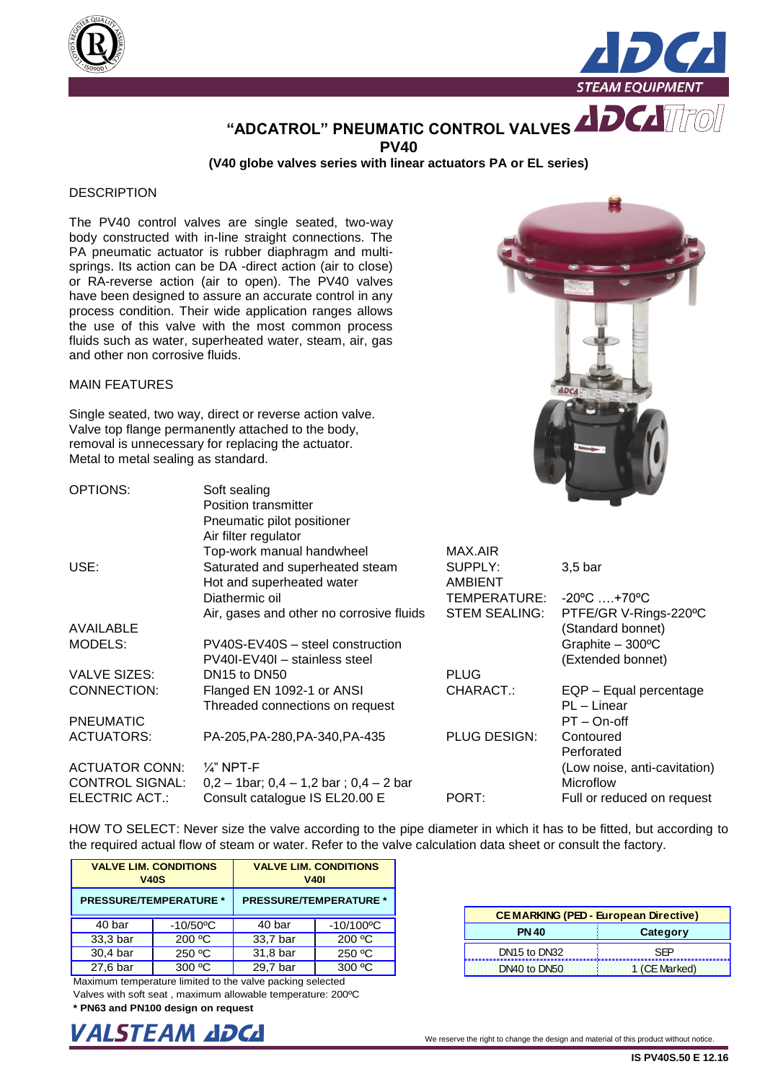



**"ADCATROL" PNEUMATIC CONTROL VALVES PV40**

**(V40 globe valves series with linear actuators PA or EL series)**

## **DESCRIPTION**

The PV40 control valves are single seated, two-way body constructed with in-line straight connections. The PA pneumatic actuator is rubber diaphragm and multisprings. Its action can be DA -direct action (air to close) or RA-reverse action (air to open). The PV40 valves have been designed to assure an accurate control in any process condition. Their wide application ranges allows the use of this valve with the most common process fluids such as water, superheated water, steam, air, gas and other non corrosive fluids.

## MAIN FEATURES

Single seated, two way, direct or reverse action valve. Valve top flange permanently attached to the body, removal is unnecessary for replacing the actuator. Metal to metal sealing as standard.

| <b>OPTIONS:</b>        | Soft sealing                                  |                      |                                   |
|------------------------|-----------------------------------------------|----------------------|-----------------------------------|
|                        | Position transmitter                          |                      |                                   |
|                        | Pneumatic pilot positioner                    |                      |                                   |
|                        | Air filter regulator                          |                      |                                   |
|                        | Top-work manual handwheel                     | MAX.AIR              |                                   |
| USE:                   | Saturated and superheated steam               | SUPPLY:              | $3,5$ bar                         |
|                        | Hot and superheated water                     | AMBIENT              |                                   |
|                        | Diathermic oil                                | TEMPERATURE:         | $-20^{\circ}$ C  +70 $^{\circ}$ C |
|                        | Air, gases and other no corrosive fluids      | <b>STEM SEALING:</b> | PTFE/GR V-Rings-220°C             |
| <b>AVAILABLE</b>       |                                               |                      | (Standard bonnet)                 |
| MODELS:                | PV40S-EV40S - steel construction              |                      | Graphite $-300^{\circ}$ C         |
|                        | PV40I-EV40I - stainless steel                 |                      | (Extended bonnet)                 |
| <b>VALVE SIZES:</b>    | DN <sub>15</sub> to DN <sub>50</sub>          | <b>PLUG</b>          |                                   |
| CONNECTION:            | Flanged EN 1092-1 or ANSI                     | CHARACT.:            | EQP - Equal percentage            |
|                        | Threaded connections on request               |                      | PL - Linear                       |
| <b>PNEUMATIC</b>       |                                               |                      | PT-On-off                         |
| <b>ACTUATORS:</b>      | PA-205, PA-280, PA-340, PA-435                | PLUG DESIGN:         | Contoured                         |
|                        |                                               |                      | Perforated                        |
| <b>ACTUATOR CONN:</b>  | $\frac{1}{4}$ " NPT-F                         |                      | (Low noise, anti-cavitation)      |
| <b>CONTROL SIGNAL:</b> | $0,2 - 1$ bar; $0,4 - 1,2$ bar; $0,4 - 2$ bar |                      | Microflow                         |
| <b>ELECTRIC ACT.:</b>  | Consult catalogue IS EL20.00 E                | PORT:                | Full or reduced on request        |

HOW TO SELECT: Never size the valve according to the pipe diameter in which it has to be fitted, but according to the required actual flow of steam or water. Refer to the valve calculation data sheet or consult the factory.

| <b>V40S</b>                   | <b>VALVE LIM. CONDITIONS</b> | <b>VALVE LIM. CONDITIONS</b><br><b>V401</b> |                               |  |  |  |  |  |
|-------------------------------|------------------------------|---------------------------------------------|-------------------------------|--|--|--|--|--|
| <b>PRESSURE/TEMPERATURE *</b> |                              |                                             | <b>PRESSURE/TEMPERATURE *</b> |  |  |  |  |  |
| 40 bar                        | $-10/50$ °C                  | 40 bar                                      | $-10/100^{\circ}C$            |  |  |  |  |  |
| 33,3 bar                      | 200 °C                       | 33,7 bar                                    | 200 °C                        |  |  |  |  |  |
| 30,4 bar                      | 250 °C                       | 31,8 bar                                    | 250 °C                        |  |  |  |  |  |
| 27,6 bar                      | 300 °C                       | 29,7 bar                                    | 300 °C                        |  |  |  |  |  |

| <b>CEMARKING (PED - European Directive)</b> |               |  |  |  |  |  |  |
|---------------------------------------------|---------------|--|--|--|--|--|--|
| <b>PN 40</b>                                | Category      |  |  |  |  |  |  |
| DN <sub>15</sub> to DN <sub>32</sub>        |               |  |  |  |  |  |  |
| DN40 to DN50                                | 1 (CE Marked) |  |  |  |  |  |  |

Maximum temperature limited to the valve packing selected

Valves with soft seat , maximum allowable temperature: 200ºC **\* PN63 and PN100 design on request** 



| We reserve the right to change the design and material of this product without notice |
|---------------------------------------------------------------------------------------|
|---------------------------------------------------------------------------------------|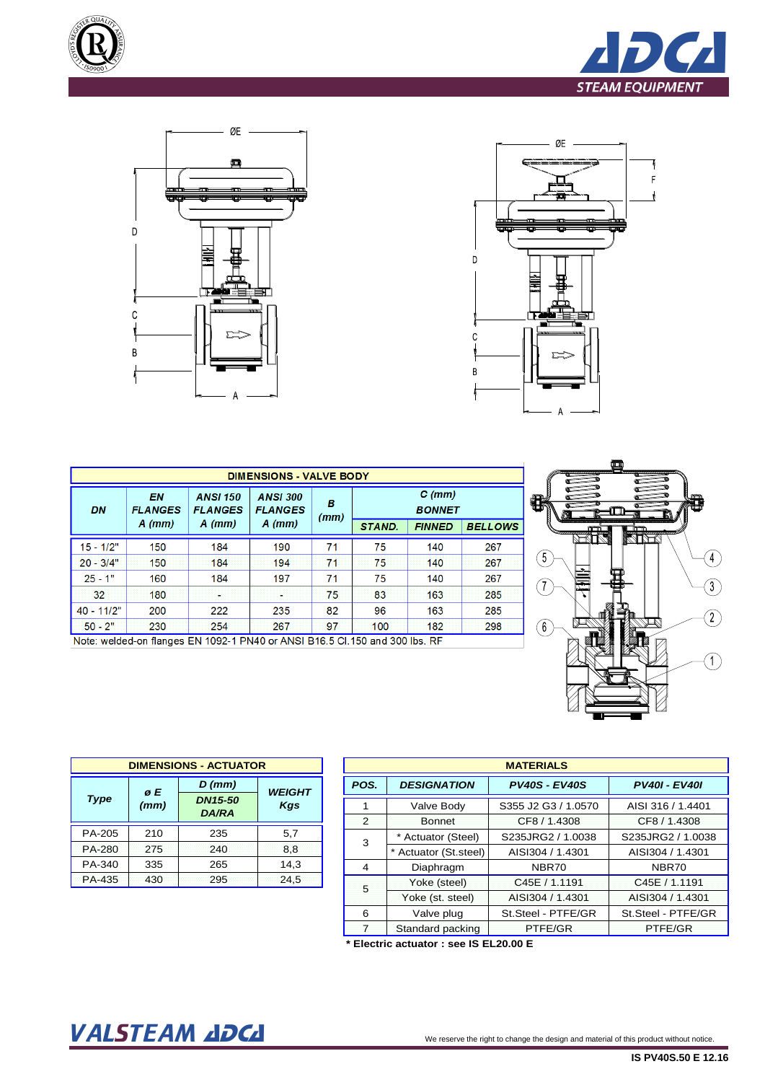







| <b>DIMENSIONS - VALVE BODY</b> |                      |                                   |                                   |           |               |                           |                |  |  |  |  |  |
|--------------------------------|----------------------|-----------------------------------|-----------------------------------|-----------|---------------|---------------------------|----------------|--|--|--|--|--|
| DN                             | EN<br><b>FLANGES</b> | <b>ANSI 150</b><br><b>FLANGES</b> | <b>ANSI 300</b><br><b>FLANGES</b> | в<br>(mm) |               | $C$ (mm)<br><b>BONNET</b> |                |  |  |  |  |  |
|                                | $A$ (mm)             | $A$ (mm)                          | $A$ (mm)                          |           | <b>STAND.</b> | <b>FINNED</b>             | <b>BELLOWS</b> |  |  |  |  |  |
| $15 - 1/2"$                    | 150                  | 184                               | 190                               | 71        | 75            | 140                       | 267            |  |  |  |  |  |
| $20 - 3/4"$                    | 150                  | 184                               | 194                               | 71        | 75            | 140                       | 267            |  |  |  |  |  |
| $25 - 1"$                      | 160                  | 184                               | 197                               | 71        | 75            | 140                       | 267            |  |  |  |  |  |
| 32                             | 180                  |                                   |                                   | 75        | 83            | 163                       | 285            |  |  |  |  |  |
| $40 - 11/2"$                   | 200                  | 222                               | 235                               | 82        | 96            | 163                       | 285            |  |  |  |  |  |
| $50 - 2"$                      | 230                  | 254                               | 267                               | 97        | 100           | 182                       | 298            |  |  |  |  |  |





| <b>DIMENSIONS - ACTUATOR</b> |                |                                |                      |  |  |  |  |  |  |
|------------------------------|----------------|--------------------------------|----------------------|--|--|--|--|--|--|
|                              | $D$ (mm)<br>øE |                                |                      |  |  |  |  |  |  |
| <b>Type</b>                  | (mm)           | <b>DN15-50</b><br><b>DA/RA</b> | <b>WEIGHT</b><br>Kgs |  |  |  |  |  |  |
| PA-205                       | 210            | 235                            | 5,7                  |  |  |  |  |  |  |
| PA-280                       | 275            | 240                            | 8,8                  |  |  |  |  |  |  |
| PA-340                       | 335            | 265                            | 14,3                 |  |  |  |  |  |  |
| <b>PA-435</b>                | 430            | 295                            | 24,5                 |  |  |  |  |  |  |

|                |                        | <b>MATERIALS</b>     |                      |
|----------------|------------------------|----------------------|----------------------|
| POS.           | <b>DESIGNATION</b>     | <b>PV40S - EV40S</b> | <b>PV40I - EV40I</b> |
| 1              | Valve Body             | S355 J2 G3 / 1.0570  | AISI 316 / 1.4401    |
| $\overline{2}$ | <b>Bonnet</b>          | CF8 / 1.4308         | CF8 / 1.4308         |
| 3              | * Actuator (Steel)     | S235JRG2 / 1.0038    | S235JRG2 / 1.0038    |
|                | * Actuator (St. steel) | AISI304 / 1.4301     | AISI304 / 1.4301     |
| 4              | Diaphragm              | NBR70                | NBR70                |
| 5              | Yoke (steel)           | C45E / 1.1191        | C45E / 1.1191        |
|                | Yoke (st. steel)       | AISI304 / 1.4301     | AISI304 / 1.4301     |
| 6              | Valve plug             | St.Steel - PTFE/GR   | St.Steel - PTFE/GR   |
| $\overline{7}$ | Standard packing       | PTFE/GR              | PTFE/GR              |

**\* Electric actuator : see IS EL20.00 E**

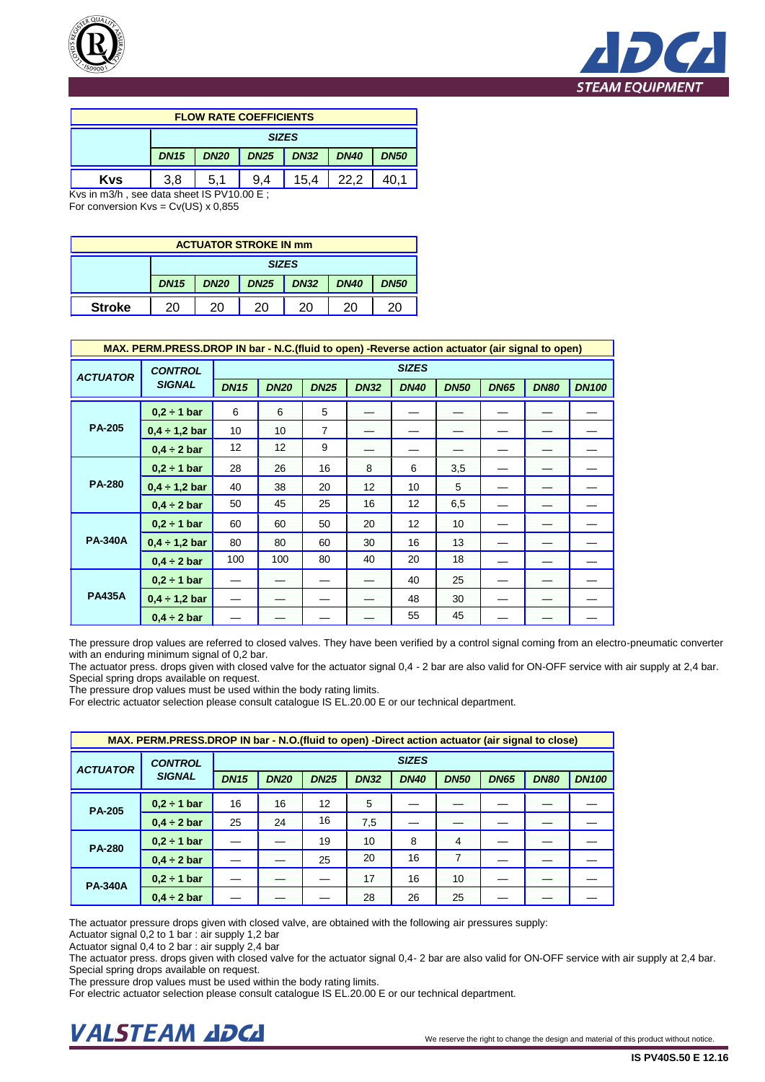



| <b>FLOW RATE COEFFICIENTS</b>                   |             |             |             |             |             |             |  |  |  |  |  |
|-------------------------------------------------|-------------|-------------|-------------|-------------|-------------|-------------|--|--|--|--|--|
| <b>SIZES</b>                                    |             |             |             |             |             |             |  |  |  |  |  |
|                                                 | <b>DN15</b> | <b>DN20</b> | <b>DN25</b> | <b>DN32</b> | <b>DN40</b> | <b>DN50</b> |  |  |  |  |  |
| 15.4<br><b>Kvs</b><br>3.8<br>22.2<br>5.1<br>9.4 |             |             |             |             |             |             |  |  |  |  |  |

Kvs in m3/h , see data sheet IS PV10.00 E ; For conversion  $Kvs = Cv(US) \times 0.855$ 

| <b>ACTUATOR STROKE IN mm</b>                       |             |             |             |             |             |             |  |  |  |  |  |
|----------------------------------------------------|-------------|-------------|-------------|-------------|-------------|-------------|--|--|--|--|--|
| <b>SIZES</b>                                       |             |             |             |             |             |             |  |  |  |  |  |
|                                                    | <b>DN15</b> | <b>DN20</b> | <b>DN25</b> | <b>DN32</b> | <b>DN40</b> | <b>DN50</b> |  |  |  |  |  |
| <b>Stroke</b><br>20<br>20<br>20<br>20<br>20.<br>20 |             |             |             |             |             |             |  |  |  |  |  |

|                 | MAX. PERM.PRESS.DROP IN bar - N.C. (fluid to open) -Reverse action actuator (air signal to open) |             |                                                                         |                |    |              |     |  |             |              |  |
|-----------------|--------------------------------------------------------------------------------------------------|-------------|-------------------------------------------------------------------------|----------------|----|--------------|-----|--|-------------|--------------|--|
| <b>ACTUATOR</b> | <b>CONTROL</b>                                                                                   |             |                                                                         |                |    | <b>SIZES</b> |     |  |             |              |  |
|                 | <b>SIGNAL</b>                                                                                    | <b>DN15</b> | <b>DN20</b><br><b>DN25</b><br><b>DN32</b><br><b>DN40</b><br><b>DN50</b> |                |    |              |     |  | <b>DN80</b> | <b>DN100</b> |  |
|                 | $0.2 \div 1$ bar                                                                                 | 6           | 6                                                                       | 5              |    |              |     |  |             |              |  |
| <b>PA-205</b>   | $0,4 \div 1,2$ bar                                                                               | 10          | 10                                                                      | $\overline{7}$ |    |              |     |  |             |              |  |
|                 | $0.4 \div 2$ bar                                                                                 | 12          | 12                                                                      | 9              |    |              |     |  |             |              |  |
|                 | $0.2 \div 1$ bar                                                                                 | 28          | 26                                                                      | 16             | 8  | 6            | 3,5 |  |             |              |  |
| <b>PA-280</b>   | $0.4 \div 1.2$ bar                                                                               | 40          | 38                                                                      | 20             | 12 | 10           | 5   |  |             |              |  |
|                 | $0.4 \div 2$ bar                                                                                 | 50          | 45                                                                      | 25             | 16 | 12           | 6,5 |  |             |              |  |
|                 | $0.2 \div 1$ bar                                                                                 | 60          | 60                                                                      | 50             | 20 | 12           | 10  |  |             |              |  |
| <b>PA-340A</b>  | $0,4 \div 1,2$ bar                                                                               | 80          | 80                                                                      | 60             | 30 | 16           | 13  |  |             |              |  |
|                 | $0.4 \div 2$ bar                                                                                 | 100         | 100                                                                     | 80             | 40 | 20           | 18  |  |             |              |  |
|                 | $0.2 \div 1$ bar                                                                                 |             |                                                                         |                |    | 40           | 25  |  |             |              |  |
| <b>PA435A</b>   | $0,4 \div 1,2$ bar                                                                               |             |                                                                         |                |    | 48           | 30  |  |             |              |  |
|                 | $0.4 \div 2$ bar                                                                                 |             |                                                                         |                |    | 55           | 45  |  |             |              |  |

The pressure drop values are referred to closed valves. They have been verified by a control signal coming from an electro-pneumatic converter with an enduring minimum signal of 0,2 bar.

The actuator press. drops given with closed valve for the actuator signal 0,4 - 2 bar are also valid for ON-OFF service with air supply at 2,4 bar. Special spring drops available on request.

The pressure drop values must be used within the body rating limits.

For electric actuator selection please consult catalogue IS EL.20.00 E or our technical department.

| MAX. PERM.PRESS.DROP IN bar - N.O.(fluid to open) -Direct action actuator (air signal to close) |                                |             |             |                   |             |             |                |             |             |              |  |
|-------------------------------------------------------------------------------------------------|--------------------------------|-------------|-------------|-------------------|-------------|-------------|----------------|-------------|-------------|--------------|--|
| <b>ACTUATOR</b>                                                                                 | <b>SIZES</b><br><b>CONTROL</b> |             |             |                   |             |             |                |             |             |              |  |
|                                                                                                 | <b>SIGNAL</b>                  | <b>DN15</b> | <b>DN20</b> | <b>DN25</b>       | <b>DN32</b> | <b>DN40</b> | <b>DN50</b>    | <b>DN65</b> | <b>DN80</b> | <b>DN100</b> |  |
| <b>PA-205</b>                                                                                   | $0.2 \div 1$ bar               | 16          | 16          | $12 \overline{ }$ | 5           |             |                |             |             |              |  |
|                                                                                                 | $0.4 \div 2$ bar               | 25          | 24          | 16                | 7,5         |             |                |             |             |              |  |
| <b>PA-280</b>                                                                                   | $0.2 \div 1$ bar               |             |             | 19                | 10          | 8           | $\overline{4}$ |             |             |              |  |
|                                                                                                 | $0.4 \div 2$ bar               |             |             | 25                | 20          | 16          | 7              |             |             |              |  |
| <b>PA-340A</b>                                                                                  | $0.2 \div 1$ bar               |             |             |                   | 17          | 16          | 10             |             |             |              |  |
|                                                                                                 | $0.4 \div 2$ bar               |             |             |                   | 28          | 26          | 25             |             |             |              |  |

The actuator pressure drops given with closed valve, are obtained with the following air pressures supply:

Actuator signal 0,2 to 1 bar : air supply 1,2 bar

Actuator signal 0,4 to 2 bar : air supply 2,4 bar

The actuator press. drops given with closed valve for the actuator signal 0,4- 2 bar are also valid for ON-OFF service with air supply at 2,4 bar. Special spring drops available on request.

The pressure drop values must be used within the body rating limits.

For electric actuator selection please consult catalogue IS EL.20.00 E or our technical department.